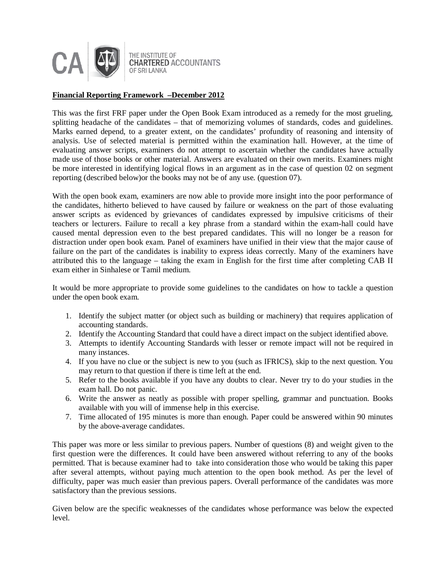

THE INSTITUTE OF **CHARTERED ACCOUNTANTS** OF SRI LANKA

## **Financial Reporting Framework –December 2012**

This was the first FRF paper under the Open Book Exam introduced as a remedy for the most grueling, splitting headache of the candidates – that of memorizing volumes of standards, codes and guidelines. Marks earned depend, to a greater extent, on the candidates' profundity of reasoning and intensity of analysis. Use of selected material is permitted within the examination hall. However, at the time of evaluating answer scripts, examiners do not attempt to ascertain whether the candidates have actually made use of those books or other material. Answers are evaluated on their own merits. Examiners might be more interested in identifying logical flows in an argument as in the case of question 02 on segment reporting (described below)or the books may not be of any use. (question 07).

With the open book exam, examiners are now able to provide more insight into the poor performance of the candidates, hitherto believed to have caused by failure or weakness on the part of those evaluating answer scripts as evidenced by grievances of candidates expressed by impulsive criticisms of their teachers or lecturers. Failure to recall a key phrase from a standard within the exam-hall could have caused mental depression even to the best prepared candidates. This will no longer be a reason for distraction under open book exam. Panel of examiners have unified in their view that the major cause of failure on the part of the candidates is inability to express ideas correctly. Many of the examiners have attributed this to the language – taking the exam in English for the first time after completing CAB II exam either in Sinhalese or Tamil medium.

It would be more appropriate to provide some guidelines to the candidates on how to tackle a question under the open book exam.

- 1. Identify the subject matter (or object such as building or machinery) that requires application of accounting standards.
- 2. Identify the Accounting Standard that could have a direct impact on the subject identified above.
- 3. Attempts to identify Accounting Standards with lesser or remote impact will not be required in many instances.
- 4. If you have no clue or the subject is new to you (such as IFRICS), skip to the next question. You may return to that question if there is time left at the end.
- 5. Refer to the books available if you have any doubts to clear. Never try to do your studies in the exam hall. Do not panic.
- 6. Write the answer as neatly as possible with proper spelling, grammar and punctuation. Books available with you will of immense help in this exercise.
- 7. Time allocated of 195 minutes is more than enough. Paper could be answered within 90 minutes by the above-average candidates.

This paper was more or less similar to previous papers. Number of questions (8) and weight given to the first question were the differences. It could have been answered without referring to any of the books permitted. That is because examiner had to take into consideration those who would be taking this paper after several attempts, without paying much attention to the open book method. As per the level of difficulty, paper was much easier than previous papers. Overall performance of the candidates was more satisfactory than the previous sessions.

Given below are the specific weaknesses of the candidates whose performance was below the expected level.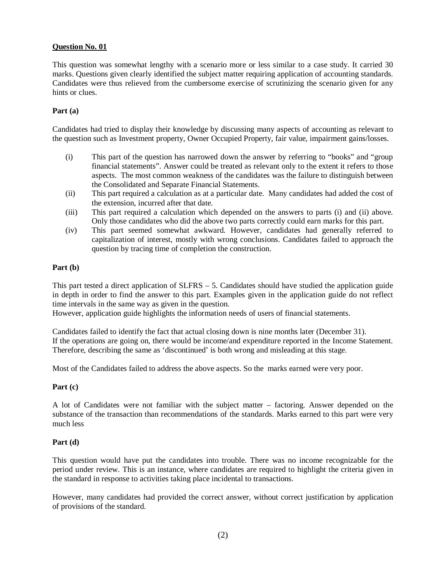## **Question No. 01**

This question was somewhat lengthy with a scenario more or less similar to a case study. It carried 30 marks. Questions given clearly identified the subject matter requiring application of accounting standards. Candidates were thus relieved from the cumbersome exercise of scrutinizing the scenario given for any hints or clues.

### **Part (a)**

Candidates had tried to display their knowledge by discussing many aspects of accounting as relevant to the question such as Investment property, Owner Occupied Property, fair value, impairment gains/losses.

- (i) This part of the question has narrowed down the answer by referring to "books" and "group financial statements". Answer could be treated as relevant only to the extent it refers to those aspects. The most common weakness of the candidates was the failure to distinguish between the Consolidated and Separate Financial Statements.
- (ii) This part required a calculation as at a particular date. Many candidates had added the cost of the extension, incurred after that date.
- (iii) This part required a calculation which depended on the answers to parts (i) and (ii) above. Only those candidates who did the above two parts correctly could earn marks for this part.
- (iv) This part seemed somewhat awkward. However, candidates had generally referred to capitalization of interest, mostly with wrong conclusions. Candidates failed to approach the question by tracing time of completion the construction.

### **Part (b)**

This part tested a direct application of  $SLFRS - 5$ . Candidates should have studied the application guide in depth in order to find the answer to this part. Examples given in the application guide do not reflect time intervals in the same way as given in the question.

However, application guide highlights the information needs of users of financial statements.

Candidates failed to identify the fact that actual closing down is nine months later (December 31). If the operations are going on, there would be income/and expenditure reported in the Income Statement. Therefore, describing the same as 'discontinued' is both wrong and misleading at this stage.

Most of the Candidates failed to address the above aspects. So the marks earned were very poor.

### **Part (c)**

A lot of Candidates were not familiar with the subject matter – factoring. Answer depended on the substance of the transaction than recommendations of the standards. Marks earned to this part were very much less

### **Part (d)**

This question would have put the candidates into trouble. There was no income recognizable for the period under review. This is an instance, where candidates are required to highlight the criteria given in the standard in response to activities taking place incidental to transactions.

However, many candidates had provided the correct answer, without correct justification by application of provisions of the standard.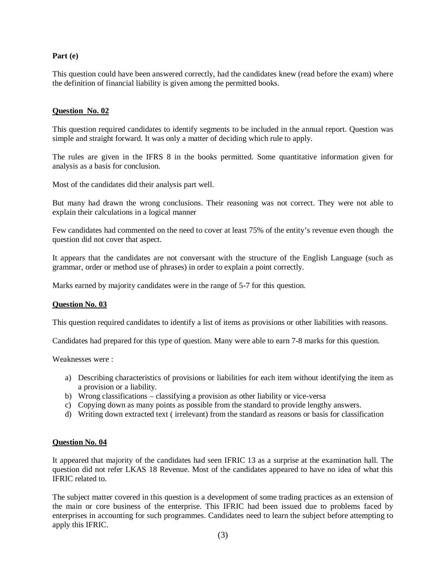## **Part (e)**

This question could have been answered correctly, had the candidates knew (read before the exam) where the definition of financial liability is given among the permitted books.

## **Question No. 02**

This question required candidates to identify segments to be included in the annual report. Question was simple and straight forward. It was only a matter of deciding which rule to apply.

The rules are given in the IFRS 8 in the books permitted. Some quantitative information given for analysis as a basis for conclusion.

Most of the candidates did their analysis part well.

But many had drawn the wrong conclusions. Their reasoning was not correct. They were not able to explain their calculations in a logical manner

Few candidates had commented on the need to cover at least 75% of the entity's revenue even though the question did not cover that aspect.

It appears that the candidates are not conversant with the structure of the English Language (such as grammar, order or method use of phrases) in order to explain a point correctly.

Marks earned by majority candidates were in the range of 5-7 for this question.

### **Question No. 03**

This question required candidates to identify a list of items as provisions or other liabilities with reasons.

Candidates had prepared for this type of question. Many were able to earn 7-8 marks for this question.

Weaknesses were :

- a) Describing characteristics of provisions or liabilities for each item without identifying the item as a provision or a liability.
- b) Wrong classifications classifying a provision as other liability or vice-versa
- c) Copying down as many points as possible from the standard to provide lengthy answers.
- d) Writing down extracted text ( irrelevant) from the standard as reasons or basis for classification

### **Question No. 04**

It appeared that majority of the candidates had seen IFRIC 13 as a surprise at the examination hall. The question did not refer LKAS 18 Revenue. Most of the candidates appeared to have no idea of what this IFRIC related to.

The subject matter covered in this question is a development of some trading practices as an extension of the main or core business of the enterprise. This IFRIC had been issued due to problems faced by enterprises in accounting for such programmes. Candidates need to learn the subject before attempting to apply this IFRIC.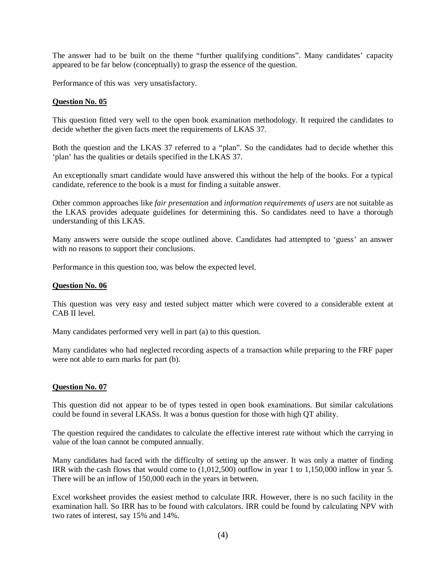The answer had to be built on the theme "further qualifying conditions". Many candidates' capacity appeared to be far below (conceptually) to grasp the essence of the question.

Performance of this was very unsatisfactory.

### **Question No. 05**

This question fitted very well to the open book examination methodology. It required the candidates to decide whether the given facts meet the requirements of LKAS 37.

Both the question and the LKAS 37 referred to a "plan". So the candidates had to decide whether this 'plan' has the qualities or details specified in the LKAS 37.

An exceptionally smart candidate would have answered this without the help of the books. For a typical candidate, reference to the book is a must for finding a suitable answer.

Other common approaches like *fair presentation* and *information requirements of users* are not suitable as the LKAS provides adequate guidelines for determining this. So candidates need to have a thorough understanding of this LKAS.

Many answers were outside the scope outlined above. Candidates had attempted to 'guess' an answer with no reasons to support their conclusions.

Performance in this question too, was below the expected level.

### **Question No. 06**

This question was very easy and tested subject matter which were covered to a considerable extent at CAB II level.

Many candidates performed very well in part (a) to this question.

Many candidates who had neglected recording aspects of a transaction while preparing to the FRF paper were not able to earn marks for part (b).

### **Question No. 07**

This question did not appear to be of types tested in open book examinations. But similar calculations could be found in several LKASs. It was a bonus question for those with high QT ability.

The question required the candidates to calculate the effective interest rate without which the carrying in value of the loan cannot be computed annually.

Many candidates had faced with the difficulty of setting up the answer. It was only a matter of finding IRR with the cash flows that would come to (1,012,500) outflow in year 1 to 1,150,000 inflow in year 5. There will be an inflow of 150,000 each in the years in between.

Excel worksheet provides the easiest method to calculate IRR. However, there is no such facility in the examination hall. So IRR has to be found with calculators. IRR could be found by calculating NPV with two rates of interest, say 15% and 14%.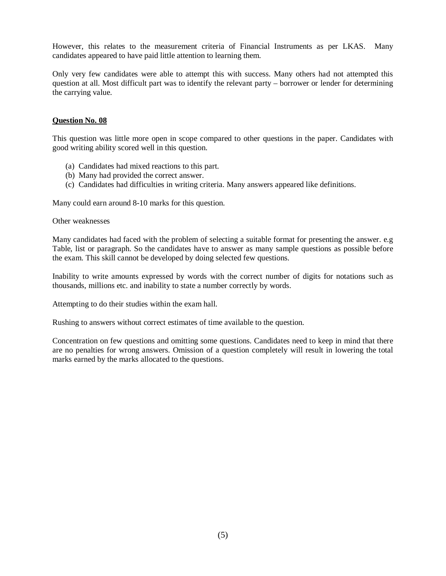However, this relates to the measurement criteria of Financial Instruments as per LKAS. Many candidates appeared to have paid little attention to learning them.

Only very few candidates were able to attempt this with success. Many others had not attempted this question at all. Most difficult part was to identify the relevant party – borrower or lender for determining the carrying value.

## **Question No. 08**

This question was little more open in scope compared to other questions in the paper. Candidates with good writing ability scored well in this question.

- (a) Candidates had mixed reactions to this part.
- (b) Many had provided the correct answer.
- (c) Candidates had difficulties in writing criteria. Many answers appeared like definitions.

Many could earn around 8-10 marks for this question.

Other weaknesses

Many candidates had faced with the problem of selecting a suitable format for presenting the answer. e.g Table, list or paragraph. So the candidates have to answer as many sample questions as possible before the exam. This skill cannot be developed by doing selected few questions.

Inability to write amounts expressed by words with the correct number of digits for notations such as thousands, millions etc. and inability to state a number correctly by words.

Attempting to do their studies within the exam hall.

Rushing to answers without correct estimates of time available to the question.

Concentration on few questions and omitting some questions. Candidates need to keep in mind that there are no penalties for wrong answers. Omission of a question completely will result in lowering the total marks earned by the marks allocated to the questions.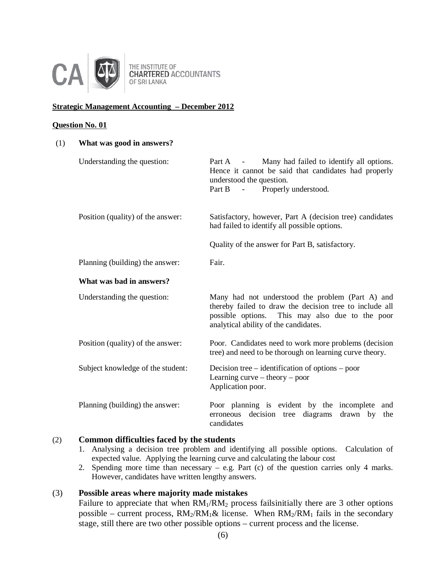

### **Strategic Management Accounting – December 2012**

#### **Question No. 01**

| (1) | What was good in answers?         |                                                                                                                                                                                                         |
|-----|-----------------------------------|---------------------------------------------------------------------------------------------------------------------------------------------------------------------------------------------------------|
|     | Understanding the question:       | Many had failed to identify all options.<br>Part A -<br>Hence it cannot be said that candidates had properly<br>understood the question.<br>Properly understood.<br>Part B<br>$\sim$ $-$                |
|     | Position (quality) of the answer: | Satisfactory, however, Part A (decision tree) candidates<br>had failed to identify all possible options.                                                                                                |
|     |                                   | Quality of the answer for Part B, satisfactory.                                                                                                                                                         |
|     | Planning (building) the answer:   | Fair.                                                                                                                                                                                                   |
|     | What was bad in answers?          |                                                                                                                                                                                                         |
|     | Understanding the question:       | Many had not understood the problem (Part A) and<br>thereby failed to draw the decision tree to include all<br>possible options. This may also due to the poor<br>analytical ability of the candidates. |
|     | Position (quality) of the answer: | Poor. Candidates need to work more problems (decision<br>tree) and need to be thorough on learning curve theory.                                                                                        |
|     | Subject knowledge of the student: | Decision tree – identification of options – poor<br>Learning curve – theory – poor<br>Application poor.                                                                                                 |
|     | Planning (building) the answer:   | Poor planning is evident by the incomplete and<br>decision tree diagrams<br>erroneous<br>drawn by<br>the<br>candidates                                                                                  |

## (2) **Common difficulties faced by the students**

- 1. Analysing a decision tree problem and identifying all possible options. Calculation of expected value. Applying the learning curve and calculating the labour cost
- 2. Spending more time than necessary e.g. Part (c) of the question carries only 4 marks. However, candidates have written lengthy answers.

## (3) **Possible areas where majority made mistakes**

Failure to appreciate that when  $RM_1/RM_2$  process fails initially there are 3 other options possible – current process,  $RM_2/RM_1\&$  license. When  $RM_2/RM_1$  fails in the secondary stage, still there are two other possible options – current process and the license.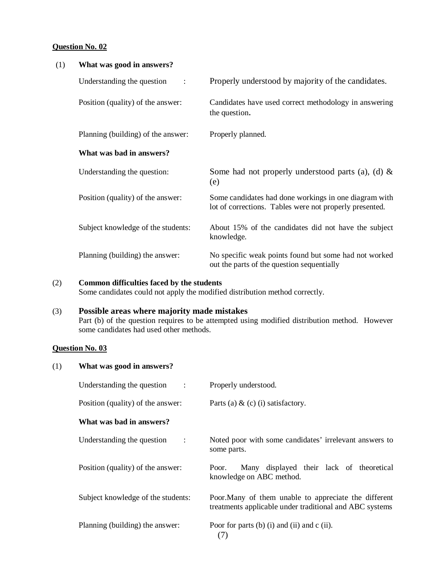### **Question No. 02**

| (1) | What was good in answers?          |                                                                                                                  |
|-----|------------------------------------|------------------------------------------------------------------------------------------------------------------|
|     | Understanding the question<br>÷    | Properly understood by majority of the candidates.                                                               |
|     | Position (quality) of the answer:  | Candidates have used correct methodology in answering<br>the question.                                           |
|     | Planning (building) of the answer: | Properly planned.                                                                                                |
|     | What was bad in answers?           |                                                                                                                  |
|     | Understanding the question:        | Some had not properly understood parts (a), (d) $\&$<br>(e)                                                      |
|     | Position (quality) of the answer:  | Some candidates had done workings in one diagram with<br>lot of corrections. Tables were not properly presented. |
|     | Subject knowledge of the students: | About 15% of the candidates did not have the subject<br>knowledge.                                               |
|     | Planning (building) the answer:    | No specific weak points found but some had not worked<br>out the parts of the question sequentially              |

### (2) **Common difficulties faced by the students**

Some candidates could not apply the modified distribution method correctly.

# (3) **Possible areas where majority made mistakes**

Part (b) of the question requires to be attempted using modified distribution method. However some candidates had used other methods.

# **Question No. 03**

| (1) | What was good in answers?                                |                                                                                                                  |
|-----|----------------------------------------------------------|------------------------------------------------------------------------------------------------------------------|
|     | Understanding the question<br>$\sim$ 100 $\pm$ 100 $\pm$ | Properly understood.                                                                                             |
|     | Position (quality) of the answer:                        | Parts (a) $\&$ (c) (i) satisfactory.                                                                             |
|     | What was bad in answers?                                 |                                                                                                                  |
|     | Understanding the question<br>$\sim 10$                  | Noted poor with some candidates' irrelevant answers to<br>some parts.                                            |
|     | Position (quality) of the answer:                        | Many displayed their lack of theoretical<br>Poor.<br>knowledge on ABC method.                                    |
|     | Subject knowledge of the students:                       | Poor. Many of them unable to appreciate the different<br>treatments applicable under traditional and ABC systems |
|     | Planning (building) the answer:                          | Poor for parts (b) (i) and (ii) and $c$ (ii).<br>(7)                                                             |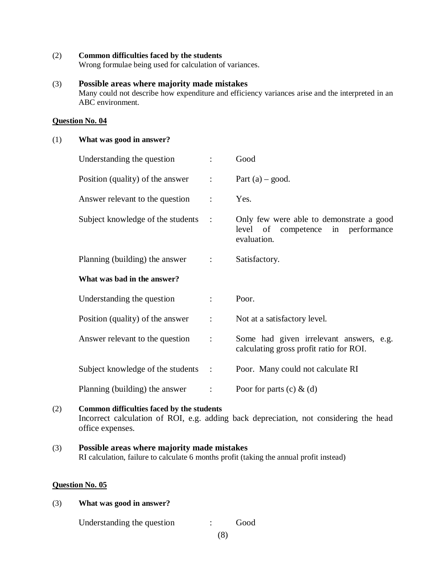(2) **Common difficulties faced by the students**

Wrong formulae being used for calculation of variances.

### (3) **Possible areas where majority made mistakes**

Many could not describe how expenditure and efficiency variances arise and the interpreted in an ABC environment.

#### **Question No. 04**

### (1) **What was good in answer?**

| Understanding the question          | $\ddot{\cdot}$           | Good                                                                                          |
|-------------------------------------|--------------------------|-----------------------------------------------------------------------------------------------|
| Position (quality) of the answer    | $\mathbb{R}^n$           | Part $(a)$ – good.                                                                            |
| Answer relevant to the question     | $\ddot{\cdot}$           | Yes.                                                                                          |
| Subject knowledge of the students   | $\mathbb{R}^2$           | Only few were able to demonstrate a good<br>level of competence in performance<br>evaluation. |
| Planning (building) the answer      | $\sim 1000$ km s $^{-1}$ | Satisfactory.                                                                                 |
| What was bad in the answer?         |                          |                                                                                               |
| Understanding the question          | $\ddot{\phantom{a}}$     | Poor.                                                                                         |
| Position (quality) of the answer    | $\mathbb{Z}^{\times}$ .  | Not at a satisfactory level.                                                                  |
| Answer relevant to the question     | $\ddot{\cdot}$           | Some had given irrelevant answers, e.g.<br>calculating gross profit ratio for ROI.            |
| Subject knowledge of the students : |                          | Poor. Many could not calculate RI                                                             |
| Planning (building) the answer      | $\ddot{\cdot}$           | Poor for parts (c) $\&$ (d)                                                                   |

## (2) **Common difficulties faced by the students**

Incorrect calculation of ROI, e.g. adding back depreciation, not considering the head office expenses.

### (3) **Possible areas where majority made mistakes** RI calculation, failure to calculate 6 months profit (taking the annual profit instead)

#### **Question No. 05**

#### (3) **What was good in answer?**

Understanding the question : Good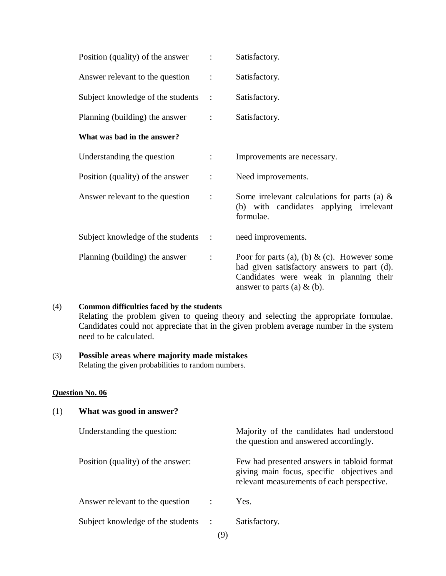| Position (quality) of the answer :  |                | Satisfactory.                                                                                                                                                         |
|-------------------------------------|----------------|-----------------------------------------------------------------------------------------------------------------------------------------------------------------------|
| Answer relevant to the question     | $\ddot{\cdot}$ | Satisfactory.                                                                                                                                                         |
| Subject knowledge of the students   | $\sim$ :       | Satisfactory.                                                                                                                                                         |
| Planning (building) the answer      | $\ddot{\cdot}$ | Satisfactory.                                                                                                                                                         |
| What was bad in the answer?         |                |                                                                                                                                                                       |
| Understanding the question          |                | Improvements are necessary.                                                                                                                                           |
| Position (quality) of the answer    | $\ddot{\cdot}$ | Need improvements.                                                                                                                                                    |
| Answer relevant to the question     | $\ddot{\cdot}$ | Some irrelevant calculations for parts (a) $\&$<br>(b) with candidates applying irrelevant<br>formulae.                                                               |
| Subject knowledge of the students : |                | need improvements.                                                                                                                                                    |
| Planning (building) the answer      | $\ddot{\cdot}$ | Poor for parts (a), (b) & (c). However some<br>had given satisfactory answers to part (d).<br>Candidates were weak in planning their<br>answer to parts (a) $\&$ (b). |

# (4) **Common difficulties faced by the students**

Relating the problem given to queing theory and selecting the appropriate formulae. Candidates could not appreciate that in the given problem average number in the system need to be calculated.

# (3) **Possible areas where majority made mistakes**

Relating the given probabilities to random numbers.

## **Question No. 06**

# (1) **What was good in answer?**

| Understanding the question:         |                      | Majority of the candidates had understood<br>the question and answered accordingly.                                                     |
|-------------------------------------|----------------------|-----------------------------------------------------------------------------------------------------------------------------------------|
| Position (quality) of the answer:   |                      | Few had presented answers in tabloid format<br>giving main focus, specific objectives and<br>relevant measurements of each perspective. |
| Answer relevant to the question     | $\ddot{\phantom{1}}$ | Yes.                                                                                                                                    |
| Subject knowledge of the students : | $\sqrt{2}$           | Satisfactory.                                                                                                                           |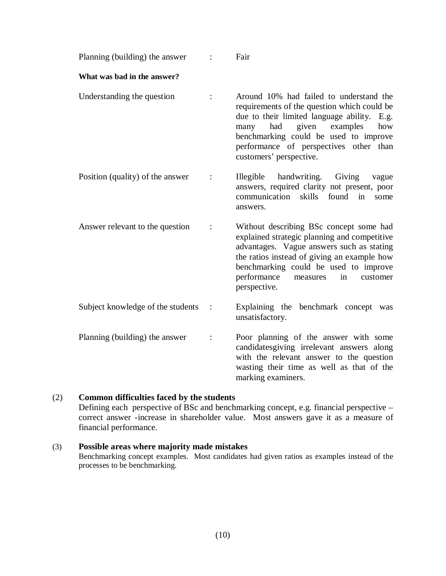| Planning (building) the answer    |                | Fair                                                                                                                                                                                                                                                                                           |
|-----------------------------------|----------------|------------------------------------------------------------------------------------------------------------------------------------------------------------------------------------------------------------------------------------------------------------------------------------------------|
| What was bad in the answer?       |                |                                                                                                                                                                                                                                                                                                |
| Understanding the question        |                | Around 10% had failed to understand the<br>requirements of the question which could be<br>due to their limited language ability. E.g.<br>given<br>had<br>examples<br>how<br>many<br>benchmarking could be used to improve<br>performance of perspectives other than<br>customers' perspective. |
| Position (quality) of the answer  | $\ddot{\cdot}$ | handwriting.<br>Illegible<br>Giving<br>vague<br>answers, required clarity not present, poor<br>skills<br>communication<br>found<br>in<br>some<br>answers.                                                                                                                                      |
| Answer relevant to the question   |                | Without describing BSc concept some had<br>explained strategic planning and competitive<br>advantages. Vague answers such as stating<br>the ratios instead of giving an example how<br>benchmarking could be used to improve<br>performance<br>in<br>customer<br>measures<br>perspective.      |
| Subject knowledge of the students |                | Explaining the benchmark concept was<br>unsatisfactory.                                                                                                                                                                                                                                        |
| Planning (building) the answer    | $\ddot{\cdot}$ | Poor planning of the answer with some<br>candidatesgiving irrelevant answers along<br>with the relevant answer to the question<br>wasting their time as well as that of the<br>marking examiners.                                                                                              |

# (2) **Common difficulties faced by the students**

Defining each perspective of BSc and benchmarking concept, e.g. financial perspective – correct answer -increase in shareholder value. Most answers gave it as a measure of financial performance.

# (3) **Possible areas where majority made mistakes**

Benchmarking concept examples. Most candidates had given ratios as examples instead of the processes to be benchmarking.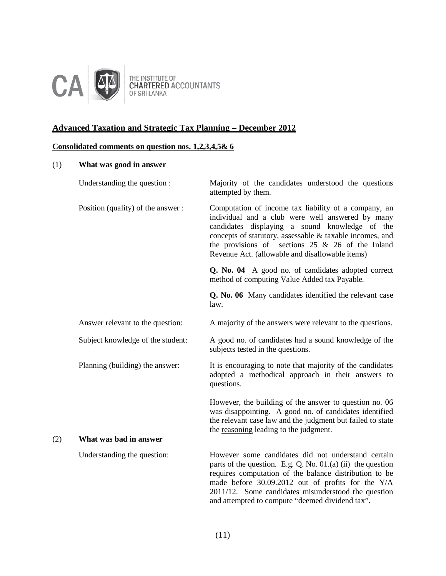

THE INSTITUTE OF<br>CHARTERED ACCOUNTANTS<br>OF SRI LANKA

# **Advanced Taxation and Strategic Tax Planning – December 2012**

# **Consolidated comments on question nos. 1,2,3,4,5& 6**

# (1) **What was good in answer**

|     | Understanding the question :      | Majority of the candidates understood the questions<br>attempted by them.                                                                                                                                                                                                                                                                    |
|-----|-----------------------------------|----------------------------------------------------------------------------------------------------------------------------------------------------------------------------------------------------------------------------------------------------------------------------------------------------------------------------------------------|
|     | Position (quality) of the answer: | Computation of income tax liability of a company, an<br>individual and a club were well answered by many<br>candidates displaying a sound knowledge of the<br>concepts of statutory, assessable & taxable incomes, and<br>the provisions of sections $25 \& 26$ of the Inland<br>Revenue Act. (allowable and disallowable items)             |
|     |                                   | Q. No. 04 A good no. of candidates adopted correct<br>method of computing Value Added tax Payable.                                                                                                                                                                                                                                           |
|     |                                   | Q. No. 06 Many candidates identified the relevant case<br>law.                                                                                                                                                                                                                                                                               |
|     | Answer relevant to the question:  | A majority of the answers were relevant to the questions.                                                                                                                                                                                                                                                                                    |
|     | Subject knowledge of the student: | A good no. of candidates had a sound knowledge of the<br>subjects tested in the questions.                                                                                                                                                                                                                                                   |
|     | Planning (building) the answer:   | It is encouraging to note that majority of the candidates<br>adopted a methodical approach in their answers to<br>questions.                                                                                                                                                                                                                 |
|     |                                   | However, the building of the answer to question no. 06<br>was disappointing. A good no. of candidates identified<br>the relevant case law and the judgment but failed to state<br>the reasoning leading to the judgment.                                                                                                                     |
| (2) | What was bad in answer            |                                                                                                                                                                                                                                                                                                                                              |
|     | Understanding the question:       | However some candidates did not understand certain<br>parts of the question. E.g. Q. No. $01.(a)$ (ii) the question<br>requires computation of the balance distribution to be<br>made before 30.09.2012 out of profits for the Y/A<br>2011/12. Some candidates misunderstood the question<br>and attempted to compute "deemed dividend tax". |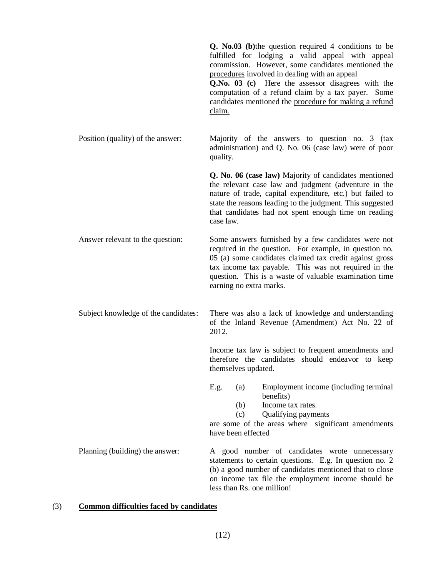|                                      | Q. No.03 (b) the question required 4 conditions to be<br>fulfilled for lodging a valid appeal with appeal<br>commission. However, some candidates mentioned the<br>procedures involved in dealing with an appeal<br>Q.No. 03 (c) Here the assessor disagrees with the<br>computation of a refund claim by a tax payer. Some<br>candidates mentioned the procedure for making a refund<br>claim. |
|--------------------------------------|-------------------------------------------------------------------------------------------------------------------------------------------------------------------------------------------------------------------------------------------------------------------------------------------------------------------------------------------------------------------------------------------------|
| Position (quality) of the answer:    | Majority of the answers to question no. 3 (tax<br>administration) and Q. No. 06 (case law) were of poor<br>quality.                                                                                                                                                                                                                                                                             |
|                                      | Q. No. 06 (case law) Majority of candidates mentioned<br>the relevant case law and judgment (adventure in the<br>nature of trade, capital expenditure, etc.) but failed to<br>state the reasons leading to the judgment. This suggested<br>that candidates had not spent enough time on reading<br>case law.                                                                                    |
| Answer relevant to the question:     | Some answers furnished by a few candidates were not<br>required in the question. For example, in question no.<br>05 (a) some candidates claimed tax credit against gross<br>tax income tax payable. This was not required in the<br>question. This is a waste of valuable examination time<br>earning no extra marks.                                                                           |
| Subject knowledge of the candidates: | There was also a lack of knowledge and understanding<br>of the Inland Revenue (Amendment) Act No. 22 of<br>2012.                                                                                                                                                                                                                                                                                |
|                                      | Income tax law is subject to frequent amendments and<br>therefore the candidates should endeavor to keep<br>themselves updated.                                                                                                                                                                                                                                                                 |
|                                      | Employment income (including terminal<br>E.g.<br>(a)<br>benefits)<br>Income tax rates.<br>(b)<br>Qualifying payments<br>(c)<br>are some of the areas where significant amendments<br>have been effected                                                                                                                                                                                         |
| Planning (building) the answer:      | A good number of candidates wrote unnecessary<br>statements to certain questions. E.g. In question no. 2<br>(b) a good number of candidates mentioned that to close<br>on income tax file the employment income should be<br>less than Rs. one million!                                                                                                                                         |

# (3) **Common difficulties faced by candidates**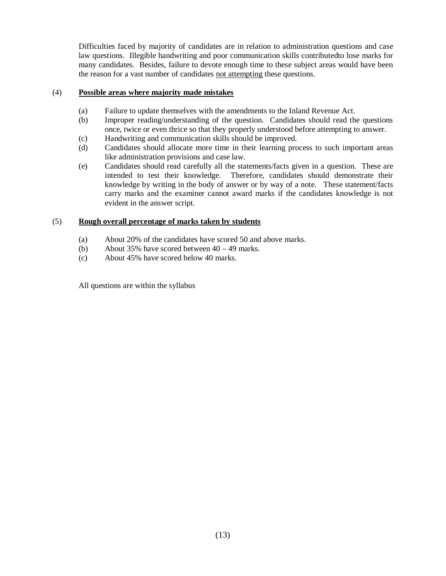Difficulties faced by majority of candidates are in relation to administration questions and case law questions. Illegible handwriting and poor communication skills contributedto lose marks for many candidates. Besides, failure to devote enough time to these subject areas would have been the reason for a vast number of candidates not attempting these questions.

### (4) **Possible areas where majority made mistakes**

- (a) Failure to update themselves with the amendments to the Inland Revenue Act.
- (b) Improper reading/understanding of the question. Candidates should read the questions once, twice or even thrice so that they properly understood before attempting to answer.
- (c) Handwriting and communication skills should be improved.
- (d) Candidates should allocate more time in their learning process to such important areas like administration provisions and case law.
- (e) Candidates should read carefully all the statements/facts given in a question. These are intended to test their knowledge. Therefore, candidates should demonstrate their knowledge by writing in the body of answer or by way of a note. These statement/facts carry marks and the examiner cannot award marks if the candidates knowledge is not evident in the answer script.

## (5) **Rough overall percentage of marks taken by students**

- (a) About 20% of the candidates have scored 50 and above marks.
- (b) About 35% have scored between 40 49 marks.
- (c) About 45% have scored below 40 marks.

All questions are within the syllabus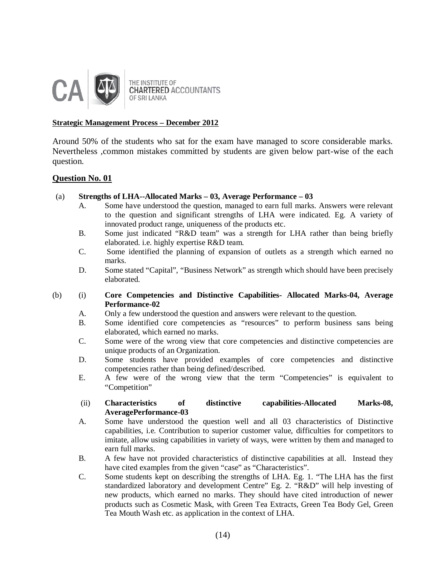

THE INSTITUTE OF **CHARTERED ACCOUNTANTS** OF SRI LANKA

### **Strategic Management Process – December 2012**

Around 50% of the students who sat for the exam have managed to score considerable marks. Nevertheless ,common mistakes committed by students are given below part-wise of the each question.

## **Question No. 01**

## (a) **Strengths of LHA--Allocated Marks – 03, Average Performance – 03**

- A. Some have understood the question, managed to earn full marks. Answers were relevant to the question and significant strengths of LHA were indicated. Eg. A variety of innovated product range, uniqueness of the products etc.
- B. Some just indicated "R&D team" was a strength for LHA rather than being briefly elaborated. i.e. highly expertise R&D team.
- C. Some identified the planning of expansion of outlets as a strength which earned no marks.
- D. Some stated "Capital", "Business Network" as strength which should have been precisely elaborated.
- (b) (i) **Core Competencies and Distinctive Capabilities- Allocated Marks-04, Average Performance-02**
	- A. Only a few understood the question and answers were relevant to the question.
	- B. Some identified core competencies as "resources" to perform business sans being elaborated, which earned no marks.
	- C. Some were of the wrong view that core competencies and distinctive competencies are unique products of an Organization.
	- D. Some students have provided examples of core competencies and distinctive competencies rather than being defined/described.
	- E. A few were of the wrong view that the term "Competencies" is equivalent to "Competition"

### (ii) **Characteristics of distinctive capabilities-Allocated Marks-08, AveragePerformance-03**

- A. Some have understood the question well and all 03 characteristics of Distinctive capabilities, i.e. Contribution to superior customer value, difficulties for competitors to imitate, allow using capabilities in variety of ways, were written by them and managed to earn full marks.
- B. A few have not provided characteristics of distinctive capabilities at all. Instead they have cited examples from the given "case" as "Characteristics".
- C. Some students kept on describing the strengths of LHA. Eg. 1. "The LHA has the first standardized laboratory and development Centre" Eg. 2. "R&D" will help investing of new products, which earned no marks. They should have cited introduction of newer products such as Cosmetic Mask, with Green Tea Extracts, Green Tea Body Gel, Green Tea Mouth Wash etc. as application in the context of LHA.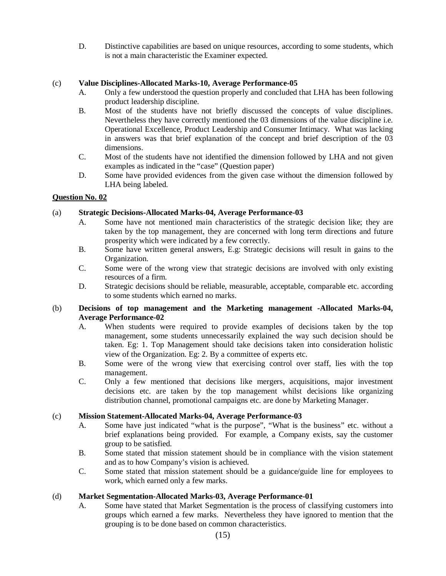D. Distinctive capabilities are based on unique resources, according to some students, which is not a main characteristic the Examiner expected.

## (c) **Value Disciplines-Allocated Marks-10, Average Performance-05**

- A. Only a few understood the question properly and concluded that LHA has been following product leadership discipline.
- B. Most of the students have not briefly discussed the concepts of value disciplines. Nevertheless they have correctly mentioned the 03 dimensions of the value discipline i.e. Operational Excellence, Product Leadership and Consumer Intimacy. What was lacking in answers was that brief explanation of the concept and brief description of the 03 dimensions.
- C. Most of the students have not identified the dimension followed by LHA and not given examples as indicated in the "case" (Question paper)
- D. Some have provided evidences from the given case without the dimension followed by LHA being labeled.

### **Question No. 02**

## (a) **Strategic Decisions-Allocated Marks-04, Average Performance-03**

- A. Some have not mentioned main characteristics of the strategic decision like; they are taken by the top management, they are concerned with long term directions and future prosperity which were indicated by a few correctly.
- B. Some have written general answers, E.g: Strategic decisions will result in gains to the Organization.
- C. Some were of the wrong view that strategic decisions are involved with only existing resources of a firm.
- D. Strategic decisions should be reliable, measurable, acceptable, comparable etc. according to some students which earned no marks.

## (b) **Decisions of top management and the Marketing management -Allocated Marks-04, Average Performance-02**

- A. When students were required to provide examples of decisions taken by the top management, some students unnecessarily explained the way such decision should be taken. Eg: 1. Top Management should take decisions taken into consideration holistic view of the Organization. Eg: 2. By a committee of experts etc.
- B. Some were of the wrong view that exercising control over staff, lies with the top management.
- C. Only a few mentioned that decisions like mergers, acquisitions, major investment decisions etc. are taken by the top management whilst decisions like organizing distribution channel, promotional campaigns etc. are done by Marketing Manager.

### (c) **Mission Statement-Allocated Marks-04, Average Performance-03**

- A. Some have just indicated "what is the purpose", "What is the business" etc. without a brief explanations being provided. For example, a Company exists, say the customer group to be satisfied.
- B. Some stated that mission statement should be in compliance with the vision statement and as to how Company's vision is achieved.
- C. Some stated that mission statement should be a guidance/guide line for employees to work, which earned only a few marks.

### (d) **Market Segmentation-Allocated Marks-03, Average Performance-01**

A. Some have stated that Market Segmentation is the process of classifying customers into groups which earned a few marks. Nevertheless they have ignored to mention that the grouping is to be done based on common characteristics.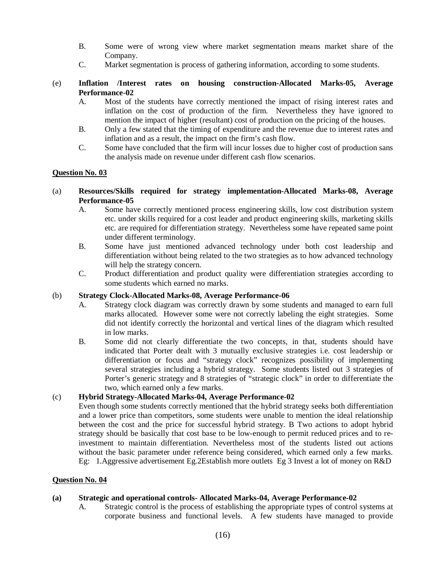- B. Some were of wrong view where market segmentation means market share of the Company.
- C. Market segmentation is process of gathering information, according to some students.
- (e) **Inflation /Interest rates on housing construction-Allocated Marks-05, Average Performance-02**
	- A. Most of the students have correctly mentioned the impact of rising interest rates and inflation on the cost of production of the firm. Nevertheless they have ignored to mention the impact of higher (resultant) cost of production on the pricing of the houses.
	- B. Only a few stated that the timing of expenditure and the revenue due to interest rates and inflation and as a result, the impact on the firm's cash flow.
	- C. Some have concluded that the firm will incur losses due to higher cost of production sans the analysis made on revenue under different cash flow scenarios.

### **Question No. 03**

- (a) **Resources/Skills required for strategy implementation-Allocated Marks-08, Average Performance-05**
	- A. Some have correctly mentioned process engineering skills, low cost distribution system etc. under skills required for a cost leader and product engineering skills, marketing skills etc. are required for differentiation strategy. Nevertheless some have repeated same point under different terminology.
	- B. Some have just mentioned advanced technology under both cost leadership and differentiation without being related to the two strategies as to how advanced technology will help the strategy concern.
	- C. Product differentiation and product quality were differentiation strategies according to some students which earned no marks.

### (b) **Strategy Clock-Allocated Marks-08, Average Performance-06**

- A. Strategy clock diagram was correctly drawn by some students and managed to earn full marks allocated. However some were not correctly labeling the eight strategies. Some did not identify correctly the horizontal and vertical lines of the diagram which resulted in low marks.
- B. Some did not clearly differentiate the two concepts, in that, students should have indicated that Porter dealt with 3 mutually exclusive strategies i.e. cost leadership or differentiation or focus and "strategy clock" recognizes possibility of implementing several strategies including a hybrid strategy. Some students listed out 3 strategies of Porter's generic strategy and 8 strategies of "strategic clock" in order to differentiate the two, which earned only a few marks.

### (c) **Hybrid Strategy-Allocated Marks-04, Average Performance-02**

Even though some students correctly mentioned that the hybrid strategy seeks both differentiation and a lower price than competitors, some students were unable to mention the ideal relationship between the cost and the price for successful hybrid strategy. B Two actions to adopt hybrid strategy should be basically that cost base to be low-enough to permit reduced prices and to reinvestment to maintain differentiation. Nevertheless most of the students listed out actions without the basic parameter under reference being considered, which earned only a few marks. Eg: 1.Aggressive advertisement Eg.2Establish more outlets Eg 3 Invest a lot of money on R&D

## **Question No. 04**

### **(a) Strategic and operational controls- Allocated Marks-04, Average Performance-02**

A. Strategic control is the process of establishing the appropriate types of control systems at corporate business and functional levels. A few students have managed to provide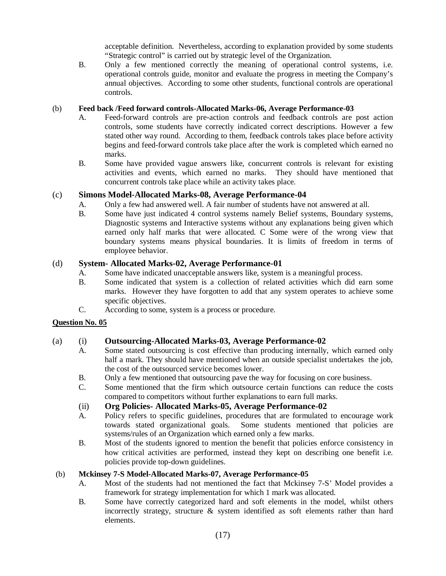acceptable definition. Nevertheless, according to explanation provided by some students "Strategic control" is carried out by strategic level of the Organization.

B. Only a few mentioned correctly the meaning of operational control systems, i.e. operational controls guide, monitor and evaluate the progress in meeting the Company's annual objectives. According to some other students, functional controls are operational controls.

## (b) **Feed back /Feed forward controls-Allocated Marks-06, Average Performance-03**

- A. Feed-forward controls are pre-action controls and feedback controls are post action controls, some students have correctly indicated correct descriptions. However a few stated other way round. According to them, feedback controls takes place before activity begins and feed-forward controls take place after the work is completed which earned no marks.
- B. Some have provided vague answers like, concurrent controls is relevant for existing activities and events, which earned no marks. They should have mentioned that concurrent controls take place while an activity takes place.

# (c) **Simons Model-Allocated Marks-08, Average Performance-04**

- A. Only a few had answered well. A fair number of students have not answered at all.
- B. Some have just indicated 4 control systems namely Belief systems, Boundary systems, Diagnostic systems and Interactive systems without any explanations being given which earned only half marks that were allocated. C Some were of the wrong view that boundary systems means physical boundaries. It is limits of freedom in terms of employee behavior.

## (d) **System- Allocated Marks-02, Average Performance-01**

- A. Some have indicated unacceptable answers like, system is a meaningful process.
- B. Some indicated that system is a collection of related activities which did earn some marks. However they have forgotten to add that any system operates to achieve some specific objectives.
- C. According to some, system is a process or procedure.

## **Question No. 05**

## (a) (i) **Outsourcing-Allocated Marks-03, Average Performance-02**

- A. Some stated outsourcing is cost effective than producing internally, which earned only half a mark. They should have mentioned when an outside specialist undertakes the job, the cost of the outsourced service becomes lower.
- B. Only a few mentioned that outsourcing pave the way for focusing on core business.
- C. Some mentioned that the firm which outsource certain functions can reduce the costs compared to competitors without further explanations to earn full marks.

## (ii) **Org Policies- Allocated Marks-05, Average Performance-02**

- A. Policy refers to specific guidelines, procedures that are formulated to encourage work towards stated organizational goals. Some students mentioned that policies are systems/rules of an Organization which earned only a few marks.
- B. Most of the students ignored to mention the benefit that policies enforce consistency in how critical activities are performed, instead they kept on describing one benefit i.e. policies provide top-down guidelines.

## (b) **Mckinsey 7-S Model-Allocated Marks-07, Average Performance-05**

- A. Most of the students had not mentioned the fact that Mckinsey 7-S' Model provides a framework for strategy implementation for which 1 mark was allocated.
- B. Some have correctly categorized hard and soft elements in the model, whilst others incorrectly strategy, structure  $\&$  system identified as soft elements rather than hard elements.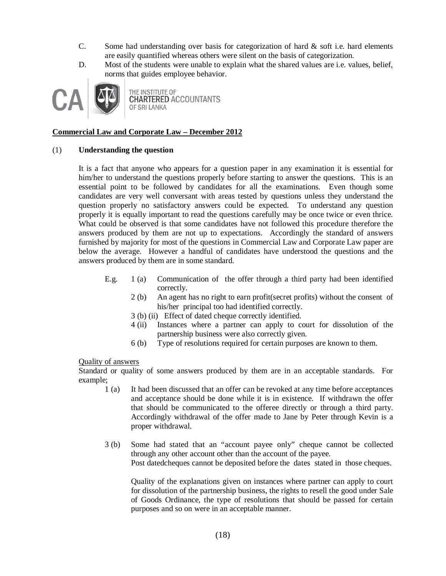- C. Some had understanding over basis for categorization of hard  $\&$  soft i.e. hard elements are easily quantified whereas others were silent on the basis of categorization.
- D. Most of the students were unable to explain what the shared values are i.e. values, belief, norms that guides employee behavior.



THE INSTITUTE OF **CHARTERED ACCOUNTANTS** OF SRI LANKA

## **Commercial Law and Corporate Law – December 2012**

### (1) **Understanding the question**

It is a fact that anyone who appears for a question paper in any examination it is essential for him/her to understand the questions properly before starting to answer the questions. This is an essential point to be followed by candidates for all the examinations. Even though some candidates are very well conversant with areas tested by questions unless they understand the question properly no satisfactory answers could be expected. To understand any question properly it is equally important to read the questions carefully may be once twice or even thrice. What could be observed is that some candidates have not followed this procedure therefore the answers produced by them are not up to expectations. Accordingly the standard of answers furnished by majority for most of the questions in Commercial Law and Corporate Law paper are below the average. However a handful of candidates have understood the questions and the answers produced by them are in some standard.

- E.g. 1 (a) Communication of the offer through a third party had been identified correctly.
	- 2 (b) An agent has no right to earn profit(secret profits) without the consent of his/her principal too had identified correctly.
	- 3 (b) (ii) Effect of dated cheque correctly identified.
	- 4 (ii) Instances where a partner can apply to court for dissolution of the partnership business were also correctly given.
	- 6 (b) Type of resolutions required for certain purposes are known to them.

### Quality of answers

Standard or quality of some answers produced by them are in an acceptable standards. For example;

- 1 (a) It had been discussed that an offer can be revoked at any time before acceptances and acceptance should be done while it is in existence. If withdrawn the offer that should be communicated to the offeree directly or through a third party. Accordingly withdrawal of the offer made to Jane by Peter through Kevin is a proper withdrawal.
- 3 (b) Some had stated that an "account payee only" cheque cannot be collected through any other account other than the account of the payee. Post datedcheques cannot be deposited before the dates stated in those cheques.

Quality of the explanations given on instances where partner can apply to court for dissolution of the partnership business, the rights to resell the good under Sale of Goods Ordinance, the type of resolutions that should be passed for certain purposes and so on were in an acceptable manner.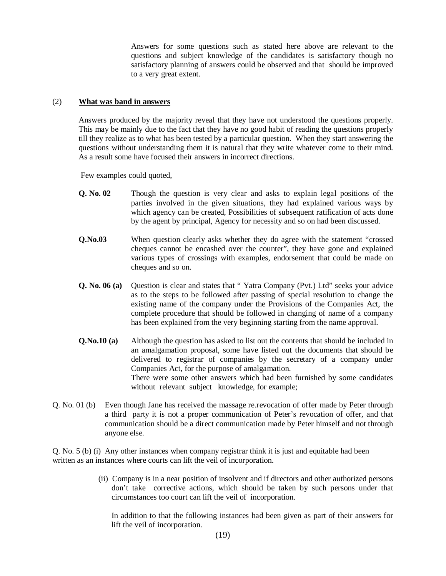Answers for some questions such as stated here above are relevant to the questions and subject knowledge of the candidates is satisfactory though no satisfactory planning of answers could be observed and that should be improved to a very great extent.

### (2) **What was band in answers**

Answers produced by the majority reveal that they have not understood the questions properly. This may be mainly due to the fact that they have no good habit of reading the questions properly till they realize as to what has been tested by a particular question. When they start answering the questions without understanding them it is natural that they write whatever come to their mind. As a result some have focused their answers in incorrect directions.

Few examples could quoted,

- **Q. No. 02** Though the question is very clear and asks to explain legal positions of the parties involved in the given situations, they had explained various ways by which agency can be created, Possibilities of subsequent ratification of acts done by the agent by principal, Agency for necessity and so on had been discussed.
- **Q.No.03** When question clearly asks whether they do agree with the statement "crossed" cheques cannot be encashed over the counter", they have gone and explained various types of crossings with examples, endorsement that could be made on cheques and so on.
- **Q. No. 06 (a)** Question is clear and states that " Yatra Company (Pvt.) Ltd" seeks your advice as to the steps to be followed after passing of special resolution to change the existing name of the company under the Provisions of the Companies Act, the complete procedure that should be followed in changing of name of a company has been explained from the very beginning starting from the name approval.
- **Q.No.10 (a)** Although the question has asked to list out the contents that should be included in an amalgamation proposal, some have listed out the documents that should be delivered to registrar of companies by the secretary of a company under Companies Act, for the purpose of amalgamation. There were some other answers which had been furnished by some candidates without relevant subject knowledge, for example;
- Q. No. 01 (b) Even though Jane has received the massage re.revocation of offer made by Peter through a third party it is not a proper communication of Peter's revocation of offer, and that communication should be a direct communication made by Peter himself and not through anyone else.

Q. No. 5 (b) (i) Any other instances when company registrar think it is just and equitable had been written as an instances where courts can lift the veil of incorporation.

> (ii) Company is in a near position of insolvent and if directors and other authorized persons don't take corrective actions, which should be taken by such persons under that circumstances too court can lift the veil of incorporation.

In addition to that the following instances had been given as part of their answers for lift the veil of incorporation.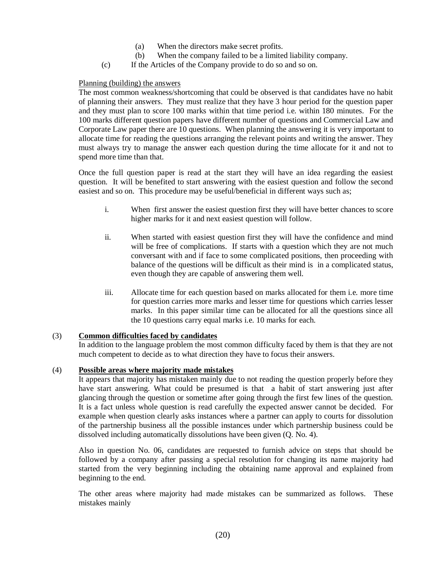- (a) When the directors make secret profits.
- (b) When the company failed to be a limited liability company.
- (c) If the Articles of the Company provide to do so and so on.

## Planning (building) the answers

The most common weakness/shortcoming that could be observed is that candidates have no habit of planning their answers. They must realize that they have 3 hour period for the question paper and they must plan to score 100 marks within that time period i.e. within 180 minutes. For the 100 marks different question papers have different number of questions and Commercial Law and Corporate Law paper there are 10 questions. When planning the answering it is very important to allocate time for reading the questions arranging the relevant points and writing the answer. They must always try to manage the answer each question during the time allocate for it and not to spend more time than that.

Once the full question paper is read at the start they will have an idea regarding the easiest question. It will be benefited to start answering with the easiest question and follow the second easiest and so on. This procedure may be useful/beneficial in different ways such as;

- i. When first answer the easiest question first they will have better chances to score higher marks for it and next easiest question will follow.
- ii. When started with easiest question first they will have the confidence and mind will be free of complications. If starts with a question which they are not much conversant with and if face to some complicated positions, then proceeding with balance of the questions will be difficult as their mind is in a complicated status, even though they are capable of answering them well.
- iii. Allocate time for each question based on marks allocated for them i.e. more time for question carries more marks and lesser time for questions which carries lesser marks. In this paper similar time can be allocated for all the questions since all the 10 questions carry equal marks i.e. 10 marks for each.

## (3) **Common difficulties faced by candidates**

In addition to the language problem the most common difficulty faced by them is that they are not much competent to decide as to what direction they have to focus their answers.

### (4) **Possible areas where majority made mistakes**

It appears that majority has mistaken mainly due to not reading the question properly before they have start answering. What could be presumed is that a habit of start answering just after glancing through the question or sometime after going through the first few lines of the question. It is a fact unless whole question is read carefully the expected answer cannot be decided. For example when question clearly asks instances where a partner can apply to courts for dissolution of the partnership business all the possible instances under which partnership business could be dissolved including automatically dissolutions have been given (Q. No. 4).

Also in question No. 06, candidates are requested to furnish advice on steps that should be followed by a company after passing a special resolution for changing its name majority had started from the very beginning including the obtaining name approval and explained from beginning to the end.

The other areas where majority had made mistakes can be summarized as follows. These mistakes mainly